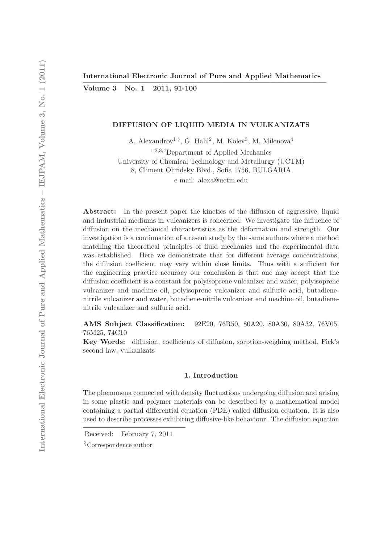Volume 3 No. 1 2011, 91-100

# DIFFUSION OF LIQUID MEDIA IN VULKANIZATS

A. Alexandrov<sup>1 §</sup>, G. Halil<sup>2</sup>, M. Kolev<sup>3</sup>, M. Milenova<sup>4</sup>

<sup>1</sup>,2,3,4Department of Applied Mechanics University of Chemical Technology and Metallurgy (UCTM) 8, Climent Ohridsky Blvd., Sofia 1756, BULGARIA e-mail: alexa@uctm.edu

Abstract: In the present paper the kinetics of the diffusion of aggressive, liquid and industrial mediums in vulcanizers is concerned. We investigate the influence of diffusion on the mechanical characteristics as the deformation and strength. Our investigation is a continuation of a resent study by the same authors where a method matching the theoretical principles of fluid mechanics and the experimental data was established. Here we demonstrate that for different average concentrations, the diffusion coefficient may vary within close limits. Thus with a sufficient for the engineering practice accuracy our conclusion is that one may accept that the diffusion coefficient is a constant for polyisoprene vulcanizer and water, polyisoprene vulcanizer and machine oil, polyisoprene vulcanizer and sulfuric acid, butadienenitrile vulcanizer and water, butadiene-nitrile vulcanizer and machine oil, butadienenitrile vulcanizer and sulfuric acid.

AMS Subject Classification: 92E20, 76R50, 80A20, 80A30, 80A32, 76V05, 76M25, 74C10

Key Words: diffusion, coefficients of diffusion, sorption-weighing method, Fick's second law, vulkanizats

#### 1. Introduction

The phenomena connected with density fluctuations undergoing diffusion and arising in some plastic and polymer materials can be described by a mathematical model containing a partial differential equation (PDE) called diffusion equation. It is also used to describe processes exhibiting diffusive-like behaviour. The diffusion equation

Received: February 7, 2011

<sup>§</sup>Correspondence author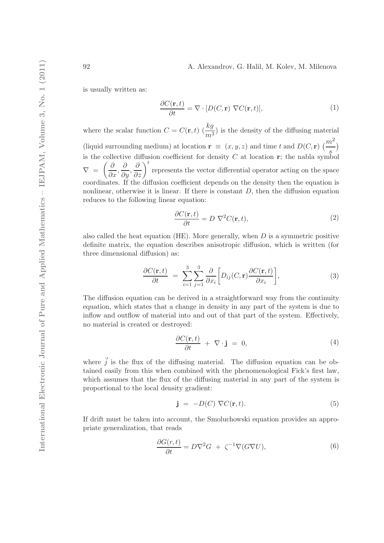is usually written as:

$$
\frac{\partial C(\mathbf{r},t)}{\partial t} = \nabla \cdot [D(C,\mathbf{r}) \ \nabla C(\mathbf{r},t)],\tag{1}
$$

where the scalar function  $C = C(\mathbf{r}, t) \left(\frac{kg}{m^3}\right)$  is the density of the diffusing material (liquid surrounding medium) at location  $\mathbf{r} \equiv (x, y, z)$  and time t and  $D(C, \mathbf{r})$   $\left(\frac{m^2}{2}\right)$ s  $\mathcal{E}$ is the collective diffusion coefficient for density  $C$  at location  $r$ ; the nabla symbol  $\nabla =$  $\left(\frac{\partial}{\partial x}, \frac{\partial}{\partial y}, \frac{\partial}{\partial z}\right)^t$  represents the vector differential operator acting on the space coordinates. If the diffusion coefficient depends on the density then the equation is nonlinear, otherwise it is linear. If there is constant  $D$ , then the diffusion equation reduces to the following linear equation:

$$
\frac{\partial C(\mathbf{r},t)}{\partial t} = D \nabla^2 C(\mathbf{r},t),\tag{2}
$$

also called the heat equation (HE). More generally, when  $D$  is a symmetric positive definite matrix, the equation describes anisotropic diffusion, which is written (for three dimensional diffusion) as:

$$
\frac{\partial C(\mathbf{r},t)}{\partial t} = \sum_{i=1}^{3} \sum_{j=1}^{3} \frac{\partial}{\partial x_i} \bigg[ D_{ij}(C,\mathbf{r}) \frac{\partial C(\mathbf{r},t)}{\partial x_i} \bigg],\tag{3}
$$

The diffusion equation can be derived in a straightforward way from the continuity equation, which states that a change in density in any part of the system is due to inflow and outflow of material into and out of that part of the system. Effectively, no material is created or destroyed:

$$
\frac{\partial C(\mathbf{r},t)}{\partial t} + \nabla \cdot \mathbf{j} = 0, \qquad (4)
$$

where  $\vec{j}$  is the flux of the diffusing material. The diffusion equation can be obtained easily from this when combined with the phenomenological Fick's first law, which assumes that the flux of the diffusing material in any part of the system is proportional to the local density gradient:

$$
\mathbf{j} = -D(C) \nabla C(\mathbf{r}, t). \tag{5}
$$

If drift must be taken into account, the Smoluchowski equation provides an appropriate generalization, that reads

$$
\frac{\partial G(r,t)}{\partial t} = D\nabla^2 G + \zeta^{-1} \nabla (G\nabla U),\tag{6}
$$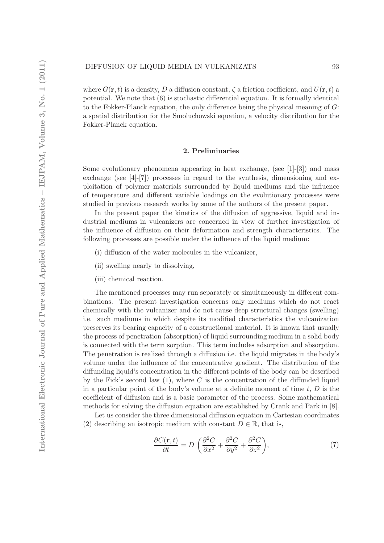where  $G(\mathbf{r},t)$  is a density, D a diffusion constant,  $\zeta$  a friction coefficient, and  $U(\mathbf{r},t)$  a potential. We note that (6) is stochastic differential equation. It is formally identical to the Fokker-Planck equation, the only difference being the physical meaning of G: a spatial distribution for the Smoluchowski equation, a velocity distribution for the Fokker-Planck equation.

# 2. Preliminaries

Some evolutionary phenomena appearing in heat exchange, (see [1]-[3]) and mass exchange (see [4]-[7]) processes in regard to the synthesis, dimensioning and exploitation of polymer materials surrounded by liquid mediums and the influence of temperature and different variable loadings on the evolutionary processes were studied in previous research works by some of the authors of the present paper.

In the present paper the kinetics of the diffusion of aggressive, liquid and industrial mediums in vulcanizers are concerned in view of further investigation of the influence of diffusion on their deformation and strength characteristics. The following processes are possible under the influence of the liquid medium:

- (i) diffusion of the water molecules in the vulcanizer,
- (ii) swelling nearly to dissolving,
- (iii) chemical reaction.

The mentioned processes may run separately or simultaneously in different combinations. The present investigation concerns only mediums which do not react chemically with the vulcanizer and do not cause deep structural changes (swelling) i.e. such mediums in which despite its modified characteristics the vulcanization preserves its bearing capacity of a constructional material. It is known that usually the process of penetration (absorption) of liquid surrounding medium in a solid body is connected with the term sorption. This term includes adsorption and absorption. The penetration is realized through a diffusion i.e. the liquid migrates in the body's volume under the influence of the concentrative gradient. The distribution of the diffunding liquid's concentration in the different points of the body can be described by the Fick's second law  $(1)$ , where C is the concentration of the diffunded liquid in a particular point of the body's volume at a definite moment of time  $t, D$  is the coefficient of diffusion and is a basic parameter of the process. Some mathematical methods for solving the diffusion equation are established by Crank and Park in [8].

Let us consider the three dimensional diffusion equation in Cartesian coordinates (2) describing an isotropic medium with constant  $D \in \mathbb{R}$ , that is,

$$
\frac{\partial C(\mathbf{r},t)}{\partial t} = D \left( \frac{\partial^2 C}{\partial x^2} + \frac{\partial^2 C}{\partial y^2} + \frac{\partial^2 C}{\partial z^2} \right),\tag{7}
$$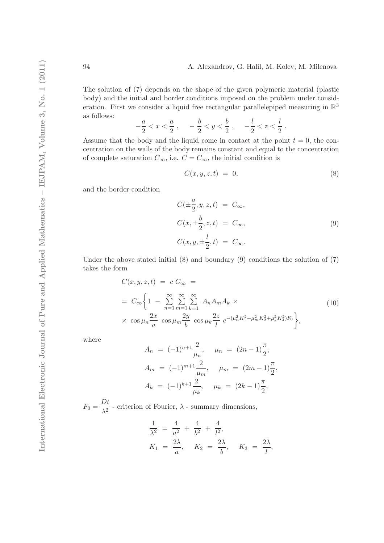The solution of (7) depends on the shape of the given polymeric material (plastic body) and the initial and border conditions imposed on the problem under consideration. First we consider a liquid free rectangular parallelepiped measuring in  $\mathbb{R}^3$ as follows:

$$
-\frac{a}{2} < x < \frac{a}{2} \;, \quad -\frac{b}{2} < y < \frac{b}{2} \;, \quad -\frac{l}{2} < z < \frac{l}{2} \;.
$$

Assume that the body and the liquid come in contact at the point  $t = 0$ , the concentration on the walls of the body remains constant and equal to the concentration of complete saturation  $C_{\infty}$ , i.e.  $C = C_{\infty}$ , the initial condition is

$$
C(x, y, z, t) = 0,\t\t(8)
$$

and the border condition

$$
C(\pm \frac{a}{2}, y, z, t) = C_{\infty},
$$
  
\n
$$
C(x, \pm \frac{b}{2}, z, t) = C_{\infty},
$$
  
\n
$$
C(x, y, \pm \frac{l}{2}, t) = C_{\infty}.
$$
\n(9)

Under the above stated initial  $(8)$  and boundary  $(9)$  conditions the solution of  $(7)$ takes the form

$$
C(x, y, z, t) = c C_{\infty} =
$$
  
=  $C_{\infty} \left\{ 1 - \sum_{n=1}^{\infty} \sum_{m=1}^{\infty} \sum_{k=1}^{\infty} A_n A_m A_k \right\}$   
 $\times \cos \mu_n \frac{2x}{a} \cos \mu_m \frac{2y}{b} \cos \mu_k \frac{2z}{l} e^{-(\mu_n^2 K_1^2 + \mu_m^2 K_2^2 + \mu_k^2 K_3^2) F_0} \right\},$  (10)

where

$$
A_n = (-1)^{n+1} \frac{2}{\mu_n}, \quad \mu_n = (2n-1) \frac{\pi}{2},
$$
  
\n
$$
A_m = (-1)^{m+1} \frac{2}{\mu_m}, \quad \mu_m = (2m-1) \frac{\pi}{2},
$$
  
\n
$$
A_k = (-1)^{k+1} \frac{2}{\mu_k}, \quad \mu_k = (2k-1) \frac{\pi}{2},
$$

 $F_0 = \frac{Dt}{\sqrt{2}}$  $\frac{\partial^2 \psi}{\partial \lambda^2}$  - criterion of Fourier,  $\lambda$  - summary dimensions,

$$
\frac{1}{\lambda^2} = \frac{4}{a^2} + \frac{4}{b^2} + \frac{4}{l^2}, K_1 = \frac{2\lambda}{a}, \quad K_2 = \frac{2\lambda}{b}, \quad K_3 = \frac{2\lambda}{l},
$$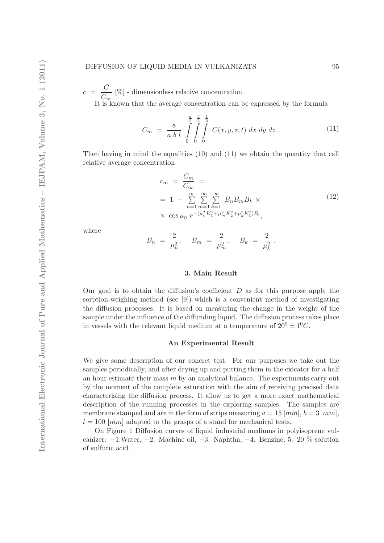#### DIFFUSION OF LIQUID MEDIA IN VULKANIZATS 95

 $c = \frac{C}{\alpha}$  $\frac{C}{C_{\infty}}$  [%] - dimensionless relative concentration. It is known that the average concentration can be expressed by the formula

$$
C_m = \frac{8}{a b l} \int_{0}^{\frac{a}{2}} \int_{0}^{\frac{b}{2}} \int_{0}^{\frac{l}{2}} C(x, y, z, t) dx dy dz.
$$
 (11)

Then having in mind the equalities  $(10)$  and  $(11)$  we obtain the quantity that call relative average concentration

$$
c_m = \frac{C_m}{C_{\infty}} =
$$
  
= 1 -  $\sum_{n=1}^{\infty} \sum_{m=1}^{\infty} \sum_{k=1}^{\infty} B_n B_m B_k \times$   
 $\times \cos \mu_n e^{-(\mu_n^2 K_1^2 + \mu_m^2 K_2^2 + \mu_k^2 K_3^2) F_0},$  (12)

where

$$
B_n = \frac{2}{\mu_n^2}, \quad B_m = \frac{2}{\mu_m^2}, \quad B_k = \frac{2}{\mu_k^2}.
$$

### 3. Main Result

Our goal is to obtain the diffusion's coefficient  $D$  as for this purpose apply the sorption-weighing method (see [9]) which is a convenient method of investigating the diffusion processes. It is based on measuring the change in the weight of the sample under the influence of the diffunding liquid. The diffusion process takes place in vessels with the relevant liquid medium at a temperature of  $20^0 \pm 1^0C$ .

# An Experimental Result

We give some description of our concret test. For our purposes we take out the samples periodically, and after drying up and putting them in the exicator for a half an hour estimate their mass  $m$  by an analytical balance. The experiments carry out by the moment of the complete saturation with the aim of receiving precised data characterising the diffusion process. It allow us to get a more exact mathematical description of the running processes in the exploring samples. The samples are membrane stamped and are in the form of strips measuring  $a = 15$  [mm],  $b = 3$  [mm],  $l = 100$  [mm] adapted to the grasps of a stand for mechanical tests.

On Figure 1 Diffusion curves of liquid industrial mediums in polyisoprene vulcanizer: −1.Water, −2. Machine oil, −3. Naphtha, −4. Benzine, 5. 20 % solution of sulfuric acid.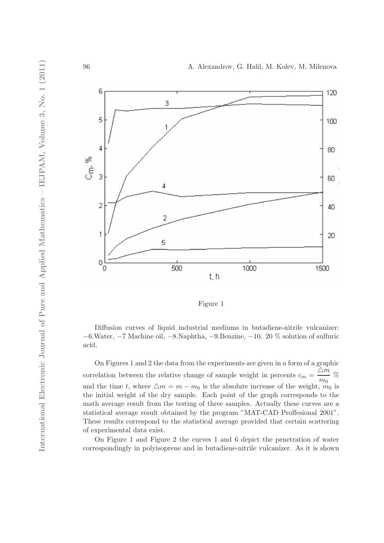

Figure 1

Diffusion curves of liquid industrial mediums in butadiene-nitrile vulcanizer: −6.Water, −7 Machine oil, −8.Naphtha, −9.Benzine, −10. 20 % solution of sulfuric acid.

On Figures 1 and 2 the data from the experiments are given in a form of a graphic correlation between the relative change of sample weight in percents  $c_m =$  $\triangle m$  $\frac{m_0}{m_0}$  % and the time t, where  $\Delta m = m - m_0$  is the absolute increase of the weight,  $m_0$  is the initial weight of the dry sample. Each point of the graph corresponds to the math average result from the testing of three samples. Actually these curves are a statistical average result obtained by the program "MAT-CAD Proffesional 2001". These results correspond to the statistical average provided that certain scattering of experimental data exist.

On Figure 1 and Figure 2 the curves 1 and 6 depict the penetration of water correspondingly in polyisoprene and in butadiene-nitrile vulcanizer. As it is shown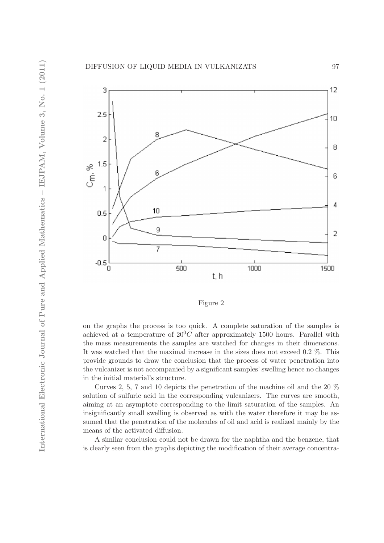

Figure 2

on the graphs the process is too quick. A complete saturation of the samples is achieved at a temperature of  $20^{0}C$  after approximately 1500 hours. Parallel with the mass measurements the samples are watched for changes in their dimensions. It was watched that the maximal increase in the sizes does not exceed 0.2 %. This provide grounds to draw the conclusion that the process of water penetration into the vulcanizer is not accompanied by a significant samples' swelling hence no changes in the initial material's structure.

Curves 2, 5, 7 and 10 depicts the penetration of the machine oil and the 20 % solution of sulfuric acid in the corresponding vulcanizers. The curves are smooth, aiming at an asymptote corresponding to the limit saturation of the samples. An insignificantly small swelling is observed as with the water therefore it may be assumed that the penetration of the molecules of oil and acid is realized mainly by the means of the activated diffusion.

A similar conclusion could not be drawn for the naphtha and the benzene, that is clearly seen from the graphs depicting the modification of their average concentra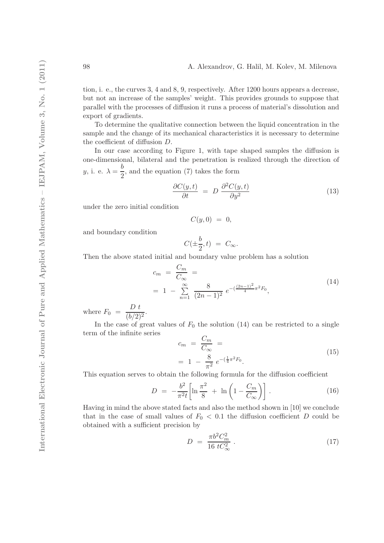tion, i. e., the curves 3, 4 and 8, 9, respectively. After 1200 hours appears a decrease, but not an increase of the samples' weight. This provides grounds to suppose that parallel with the processes of diffusion it runs a process of material's dissolution and export of gradients.

To determine the qualitative connection between the liquid concentration in the sample and the change of its mechanical characteristics it is necessary to determine the coefficient of diffusion D.

In our case according to Figure 1, with tape shaped samples the diffusion is one-dimensional, bilateral and the penetration is realized through the direction of y, i. e.  $\lambda = \frac{b}{2}$  $\frac{1}{2}$ , and the equation (7) takes the form

$$
\frac{\partial C(y,t)}{\partial t} = D \frac{\partial^2 C(y,t)}{\partial y^2}
$$
\n(13)

under the zero initial condition

$$
C(y,0) = 0,
$$

and boundary condition

$$
C(\pm \frac{b}{2},t) = C_{\infty}.
$$

Then the above stated initial and boundary value problem has a solution

$$
c_m = \frac{C_m}{C_{\infty}} =
$$
  
= 1 -  $\sum_{n=1}^{\infty} \frac{8}{(2n-1)^2} e^{-\left(\frac{(2n-1)^2}{4}\pi^2 F_0\right)},$  (14)

where  $F_0 = \frac{D t}{(b/2)}$  $\frac{1}{(b/2)^2}$ .

In the case of great values of  $F_0$  the solution (14) can be restricted to a single term of the infinite series

$$
c_m = \frac{C_m}{C_{\infty}} =
$$
  
= 1 -  $\frac{8}{\pi^2} e^{-(\frac{1}{4}\pi^2 F_0)}$ . (15)

This equation serves to obtain the following formula for the diffusion coefficient

$$
D = -\frac{b^2}{\pi^2 t} \left[ \ln \frac{\pi^2}{8} + \ln \left( 1 - \frac{C_m}{C_\infty} \right) \right]. \tag{16}
$$

Having in mind the above stated facts and also the method shown in [10] we conclude that in the case of small values of  $F_0 < 0.1$  the diffusion coefficient D could be obtained with a sufficient precision by

$$
D = \frac{\pi b^2 C_m^2}{16 t C_\infty^2} \,. \tag{17}
$$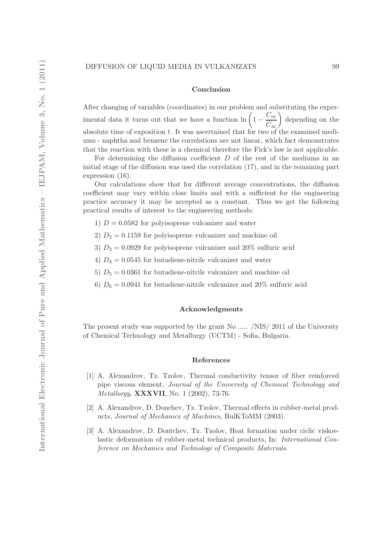#### Conclusion

After changing of variables (coordinates) in our problem and substituting the experimental data it turns out that we have a function  $\ln\left(1-\frac{C_m}{C}\right)$  $C_{\infty}$  depending on the absolute time of exposition t. It was ascertained that for two of the examined mediums - naphtha and benzene the correlations are not linear, which fact demonstrates that the reaction with these is a chemical therefore the Fick's law is not applicable.

For determining the diffusion coefficient  $D$  of the rest of the mediums in an initial stage of the diffusion was used the correlation (17), and in the remaining part expression (16).

Our calculations show that for different average concentrations, the diffusion coefficient may vary within close limits and with a sufficient for the engineering practice accuracy it may be accepted as a constant. Thus we get the following practical results of interest to the engineering methods:

- 1)  $D = 0.0582$  for polyisoprene vulcanizer and water
- 2)  $D_2 = 0.1159$  for polyisoprene vulcanizer and machine oil
- 3)  $D_3 = 0.0929$  for polyisoprene vulcanizer and 20% sulfuric acid
- 4)  $D_4 = 0.0545$  for butadiene-nitrile vulcanizer and water
- 5)  $D_5 = 0.0361$  for butadiene-nitrile vulcanizer and machine oil
- 6)  $D_6 = 0.0941$  for butadiene-nitrile vulcanizer and 20% sulfuric acid

### Acknowledgments

The present study was supported by the grant No ..... /NIS/ 2011 of the University of Chemical Technology and Metallurgy (UCTM) - Sofia, Bulgaria.

#### References

- [1] A. Alexandrov, Tz. Tzolov, Thermal conductivity tensor of fiber reinforced pipe viscous element, Journal of the University of Chemical Technology and Metallurgy, XXXVII, No. 1 (2002), 73-76.
- [2] A. Alexandrov, D. Donchev, Tz. Tzolov, Thermal effects in rubber-metal products, Journal of Mechanics of Machines, BulKToMM (2003).
- [3] A. Alexandrov, D. Dontchev, Tz. Tzolov, Heat formation under ciclic viskoelastic deformation of rubber-metal technical products, In: International Conference on Mechanics and Technologi of Composite Materials.